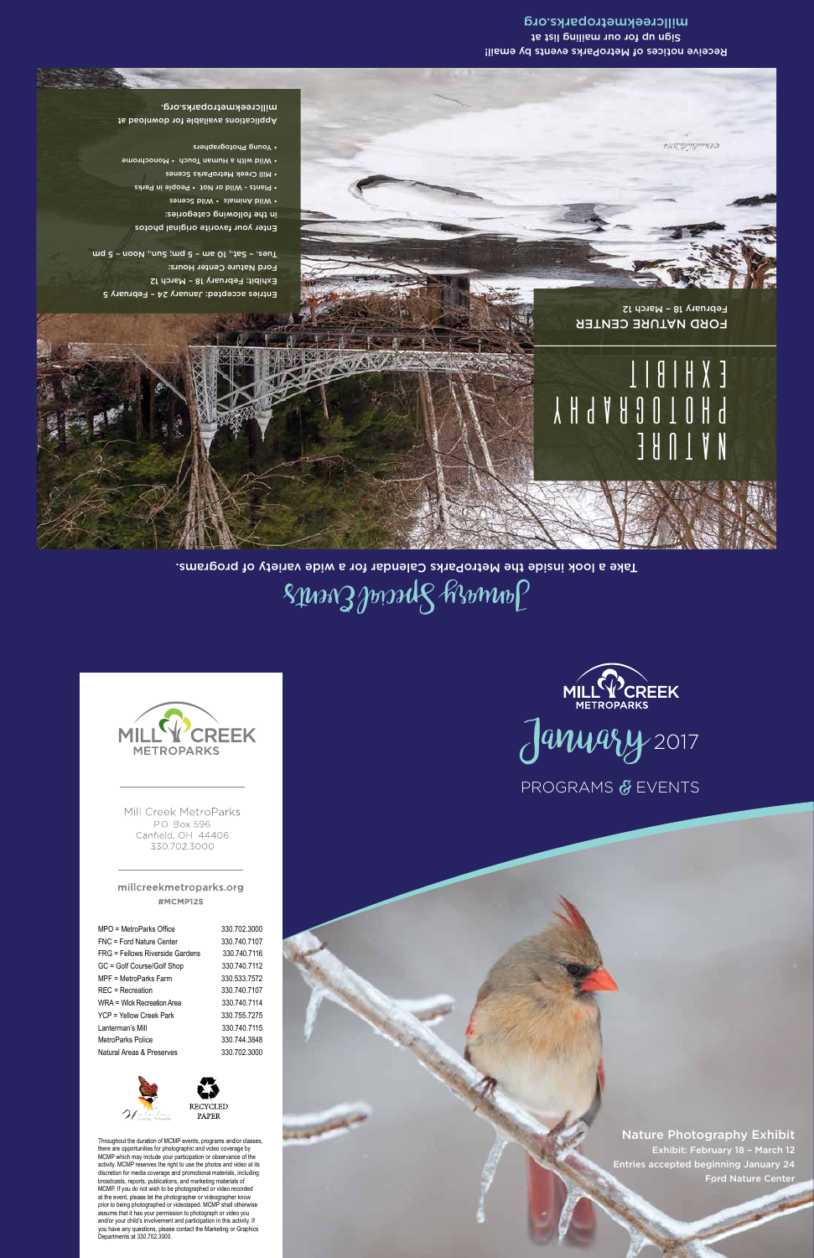

Mill Creek MetroParks **PO Box 596** Canfield, OH 44406 330.702.3000

millcreekmetroparks.org #MCMP125

| MPO = MetroParks Office         | 330.702.3000 |
|---------------------------------|--------------|
| FNC = Ford Nature Center        | 330.740.7107 |
| FRG = Fellows Riverside Gardens | 330.740.7116 |
| GC = Golf Course/Golf Shop      | 330.740.7112 |
| MPF = MetroParks Farm           | 330.533.7572 |
| <b>REC</b> = Recreation         | 330.740.7107 |
| WRA = Wick Recreation Area      | 330.740.7114 |
| YCP = Yellow Creek Park         | 330.755.7275 |
| Lanterman's Mill                | 330.740.7115 |
| MetroParks Police               | 330.744.3848 |
| Natural Areas & Preserves       | 330.702.3000 |
|                                 |              |





Throughout the duration of MCMP events, programs and/or classes, there are opportunities for photographic and video coverage by MCMP which may include your participation or observance of the activity. MCMP reserves the right to use the photos and video at its discretion for media coverage and promotional materials, including broadcasts, reports, publications, and marketing materials of MCMP. If you do not wish to be photographed or video recorded at the event, please let the photographer or videographer know prior to being photographed or videotaped. MCMP shall otherwise assume that it has your permission to photograph or video you and/or your child's involvement and participation in this activity. If you have any questions, please contact the Marketing or Graphics Departments at 330.702.3000.





PROGRAMS & EVENTS

Nature Photography Exhibit Exhibit: February 18 – March 12 Entries accepted beginning January 24 Ford Nature Center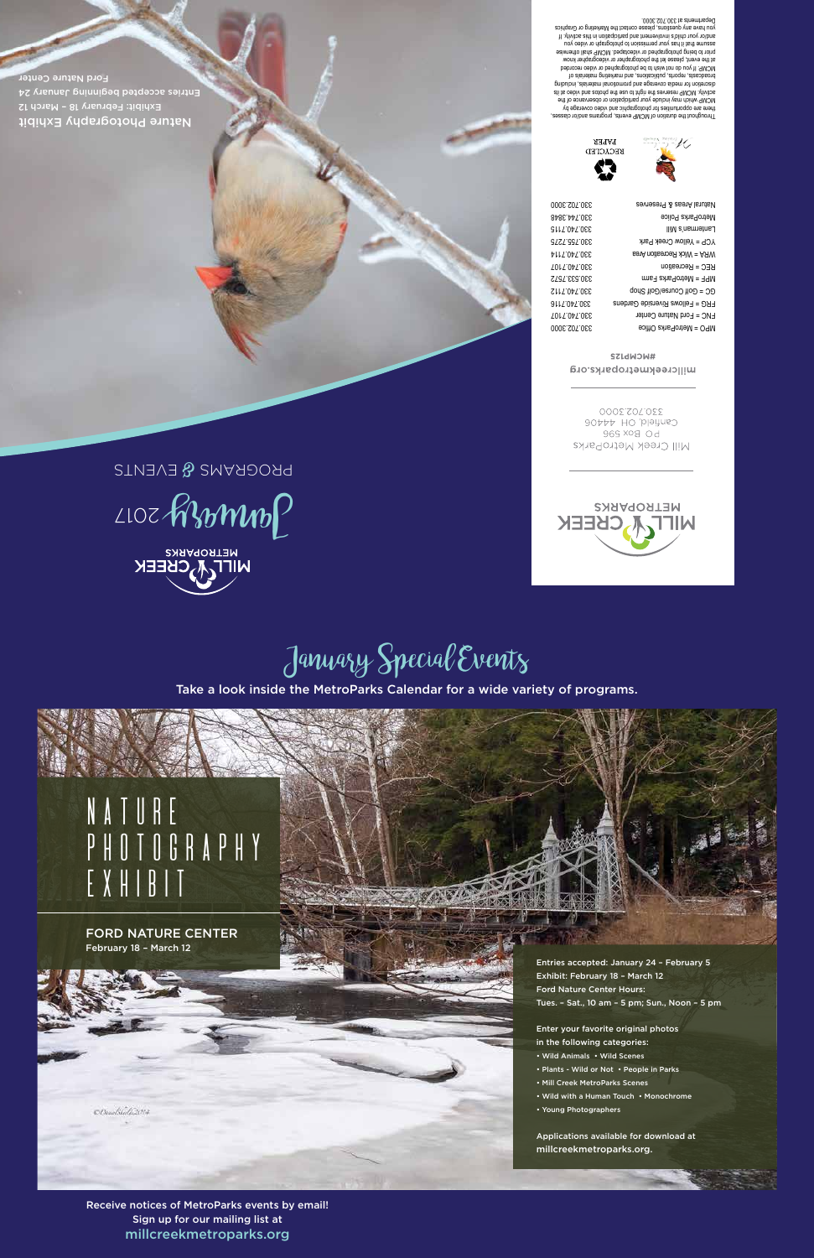# January Special Events

Take a look inside the MetroParks Calendar for a wide variety of programs.

# NATURE PHOTOGRAPHY EXHIBIT

February 18 – March 12 FORD NATURE CENTER

OBuildide2014

Entries accepted: January 24 – February 5 Exhibit: February 18 – March 12 Ford Nature Center Hours: Tues. – Sat., 10 am – 5 pm; Sun., Noon – 5 pm

Enter your favorite original photos in the following categories:

- Wild Animals Wild Scenes
- Plants Wild or Not People in Parks
- Mill Creek MetroParks Scenes
- Wild with a Human Touch Monochrome
- Young Photographers

Applications available for download at millcreekmetroparks.org.

Receive notices of MetroParks events by email! Sign up for our mailing list at millcreekmetroparks.org